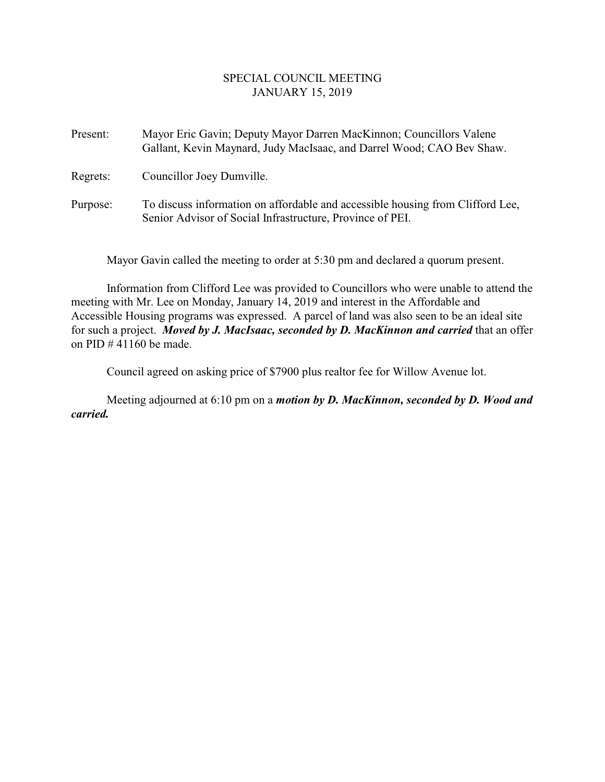## SPECIAL COUNCIL MEETING JANUARY 15, 2019

Present: Mayor Eric Gavin; Deputy Mayor Darren MacKinnon; Councillors Valene Gallant, Kevin Maynard, Judy MacIsaac, and Darrel Wood; CAO Bev Shaw. Regrets: Councillor Joey Dumville. Purpose: To discuss information on affordable and accessible housing from Clifford Lee, Senior Advisor of Social Infrastructure, Province of PEI.

Mayor Gavin called the meeting to order at 5:30 pm and declared a quorum present.

Information from Clifford Lee was provided to Councillors who were unable to attend the meeting with Mr. Lee on Monday, January 14, 2019 and interest in the Affordable and Accessible Housing programs was expressed. A parcel of land was also seen to be an ideal site for such a project. *Moved by J. MacIsaac, seconded by D. MacKinnon and carried* that an offer on PID  $\#$  41160 be made.

Council agreed on asking price of \$7900 plus realtor fee for Willow Avenue lot.

Meeting adjourned at 6:10 pm on a *motion by D. MacKinnon, seconded by D. Wood and carried.*